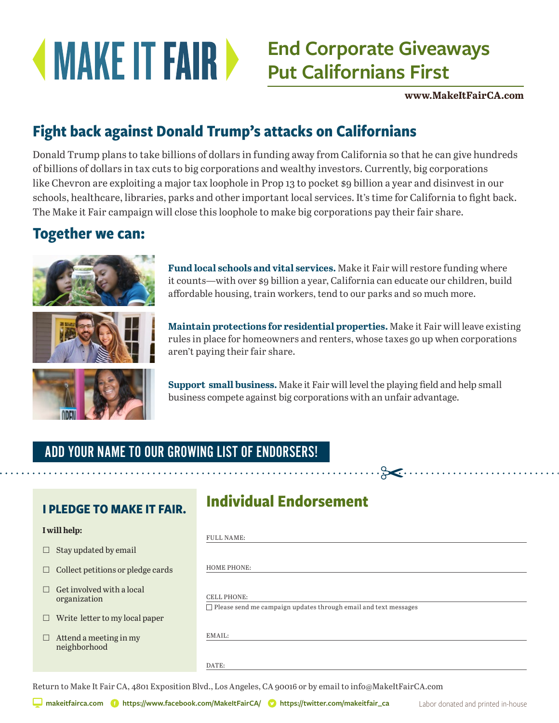# **MAKE IT FAIR D**

# **End Corporate Giveaways Put Californians First**

**www.MakeItFairCA.com**

### **Fight back against Donald Trump's attacks on Californians**

Donald Trump plans to take billions of dollars in funding away from California so that he can give hundreds of billions of dollars in tax cuts to big corporations and wealthy investors. Currently, big corporations like Chevron are exploiting a major tax loophole in Prop 13 to pocket \$9 billion a year and disinvest in our schools, healthcare, libraries, parks and other important local services. It's time for California to fight back. The Make it Fair campaign will close this loophole to make big corporations pay their fair share.

### **Together we can:**







**Fund local schools and vital services.** Make it Fair will restore funding where it counts—with over \$9 billion a year, California can educate our children, build affordable housing, train workers, tend to our parks and so much more.

**Maintain protections for residential properties.** Make it Fair will leave existing rules in place for homeowners and renters, whose taxes go up when corporations aren't paying their fair share.

**Support small business.** Make it Fair will level the playing field and help small business compete against big corporations with an unfair advantage.

✂

### ADD YOUR NAME TO OUR GROWING LIST OF ENDORSERS!

### **I PLEDGE TO MAKE IT FAIR.**

### **I will help:**

- $\Box$  Stay updated by email
- $\Box$  Collect petitions or pledge cards
- $\Box$  Get involved with a local organization
- $\Box$  Write letter to my local paper
- $\Box$  Attend a meeting in my neighborhood

### **Individual Endorsement**

| $F$ <i>ULL</i> NAME: |
|----------------------|

HOME PHONE:

### CELL PHONE:

 $\Box$  Please send me campaign updates through email and text messages

EMAIL:

DATE:

Return to Make It Fair CA, 4801 Exposition Blvd., Los Angeles, CA 90016 or by email to info@MakeItFairCA.com